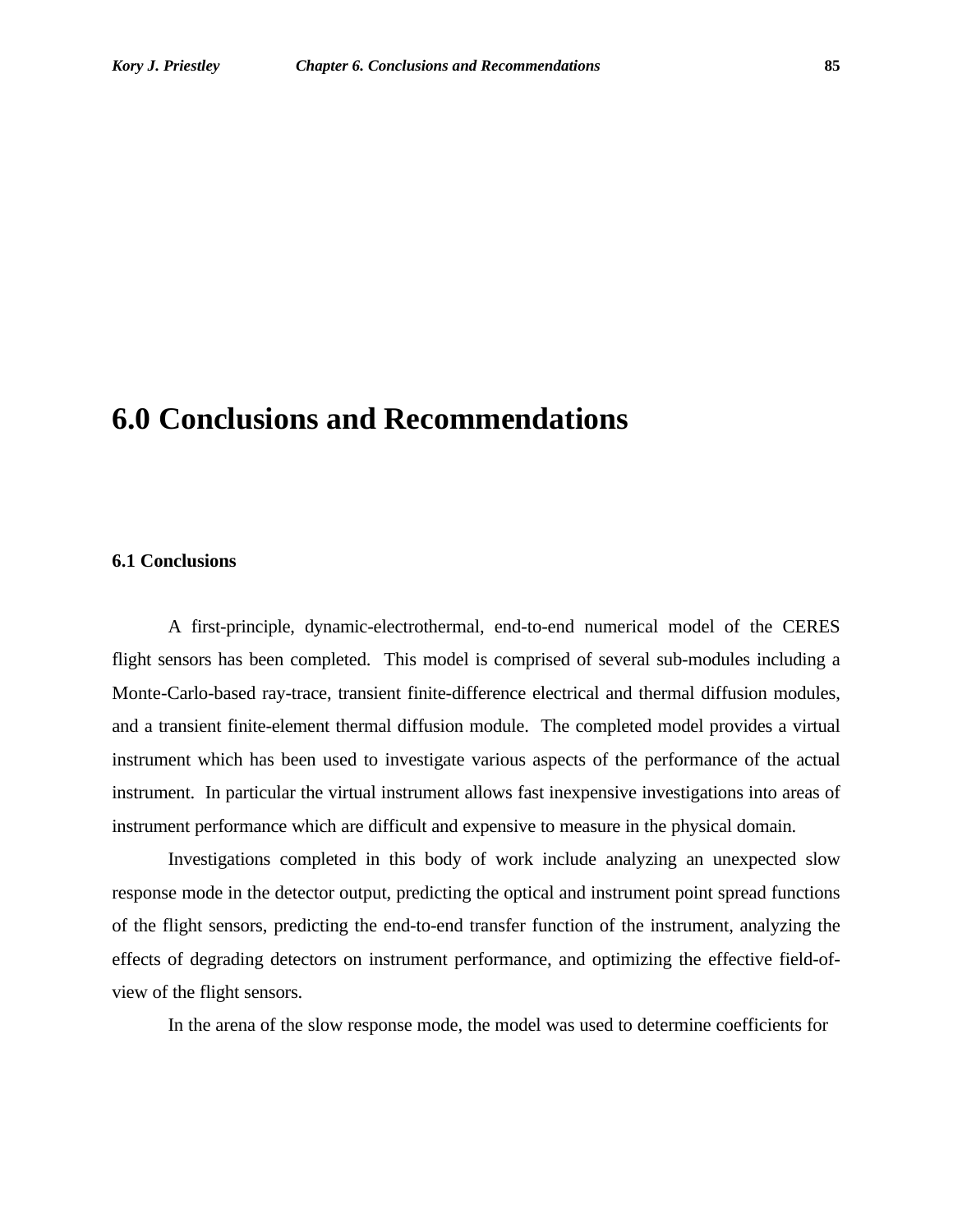## **6.0 Conclusions and Recommendations**

## **6.1 Conclusions**

A first-principle, dynamic-electrothermal, end-to-end numerical model of the CERES flight sensors has been completed. This model is comprised of several sub-modules including a Monte-Carlo-based ray-trace, transient finite-difference electrical and thermal diffusion modules, and a transient finite-element thermal diffusion module. The completed model provides a virtual instrument which has been used to investigate various aspects of the performance of the actual instrument. In particular the virtual instrument allows fast inexpensive investigations into areas of instrument performance which are difficult and expensive to measure in the physical domain.

Investigations completed in this body of work include analyzing an unexpected slow response mode in the detector output, predicting the optical and instrument point spread functions of the flight sensors, predicting the end-to-end transfer function of the instrument, analyzing the effects of degrading detectors on instrument performance, and optimizing the effective field-ofview of the flight sensors.

In the arena of the slow response mode, the model was used to determine coefficients for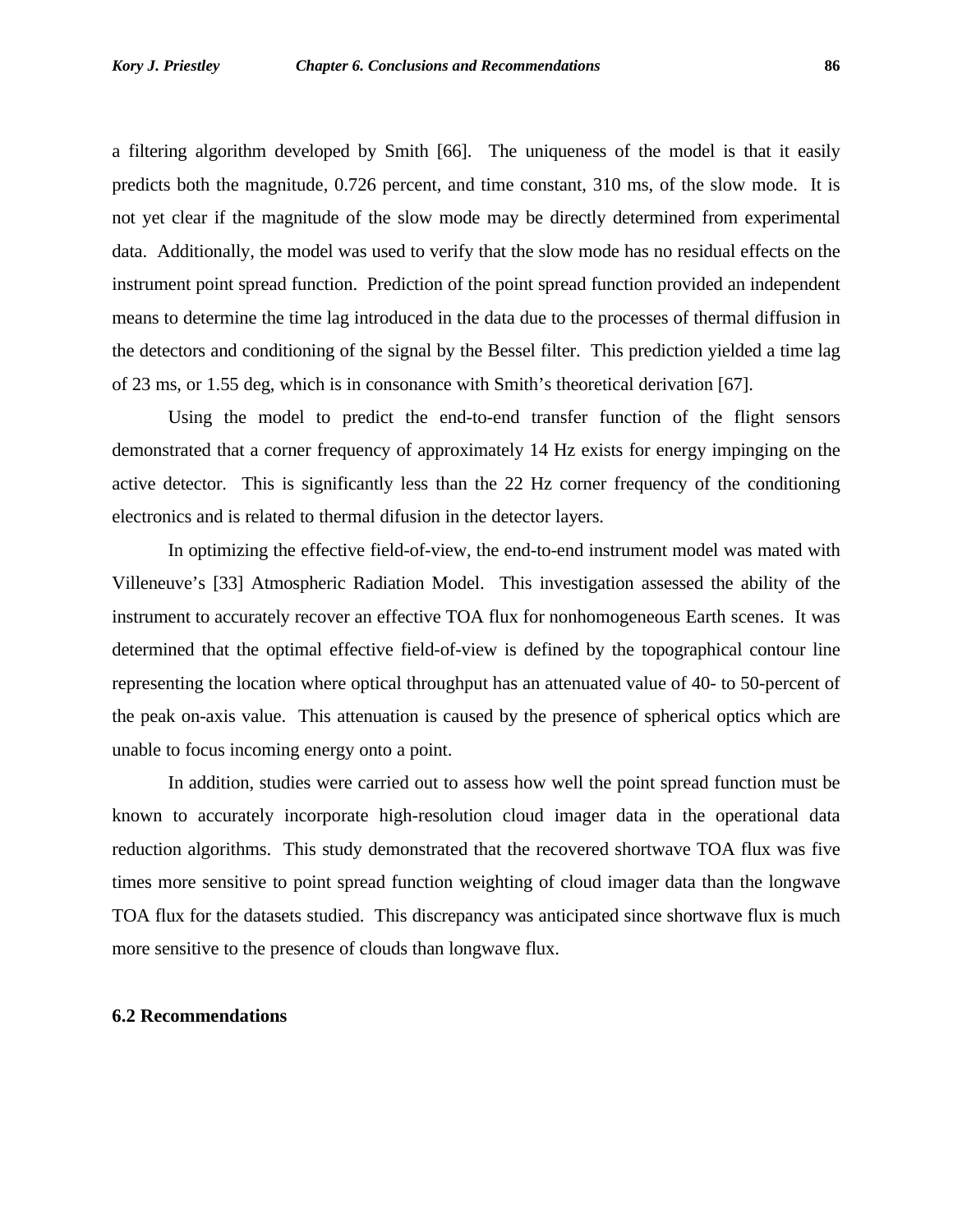a filtering algorithm developed by Smith [66]. The uniqueness of the model is that it easily predicts both the magnitude, 0.726 percent, and time constant, 310 ms, of the slow mode. It is not yet clear if the magnitude of the slow mode may be directly determined from experimental data. Additionally, the model was used to verify that the slow mode has no residual effects on the instrument point spread function. Prediction of the point spread function provided an independent means to determine the time lag introduced in the data due to the processes of thermal diffusion in the detectors and conditioning of the signal by the Bessel filter. This prediction yielded a time lag of 23 ms, or 1.55 deg, which is in consonance with Smith's theoretical derivation [67].

Using the model to predict the end-to-end transfer function of the flight sensors demonstrated that a corner frequency of approximately 14 Hz exists for energy impinging on the active detector. This is significantly less than the 22 Hz corner frequency of the conditioning electronics and is related to thermal difusion in the detector layers.

In optimizing the effective field-of-view, the end-to-end instrument model was mated with Villeneuve's [33] Atmospheric Radiation Model. This investigation assessed the ability of the instrument to accurately recover an effective TOA flux for nonhomogeneous Earth scenes. It was determined that the optimal effective field-of-view is defined by the topographical contour line representing the location where optical throughput has an attenuated value of 40- to 50-percent of the peak on-axis value. This attenuation is caused by the presence of spherical optics which are unable to focus incoming energy onto a point.

In addition, studies were carried out to assess how well the point spread function must be known to accurately incorporate high-resolution cloud imager data in the operational data reduction algorithms. This study demonstrated that the recovered shortwave TOA flux was five times more sensitive to point spread function weighting of cloud imager data than the longwave TOA flux for the datasets studied. This discrepancy was anticipated since shortwave flux is much more sensitive to the presence of clouds than longwave flux.

## **6.2 Recommendations**